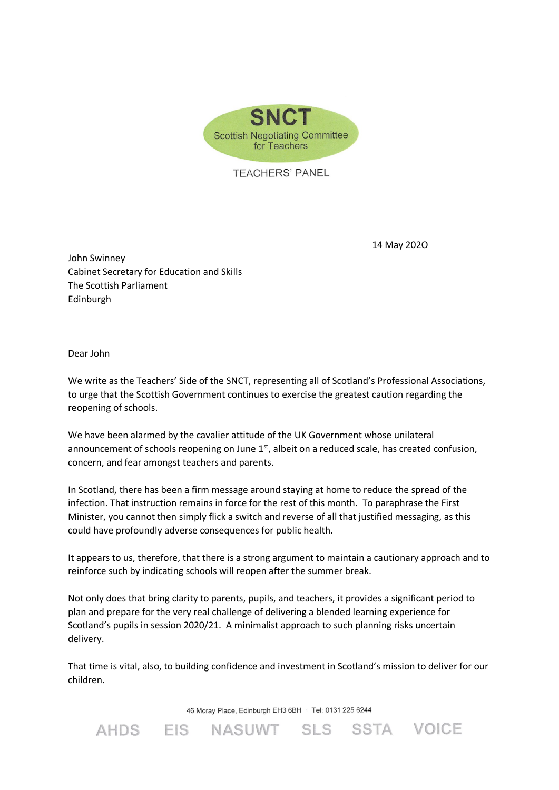

**TEACHERS' PANEL** 

14 May 202O

John Swinney Cabinet Secretary for Education and Skills The Scottish Parliament Edinburgh

Dear John

We write as the Teachers' Side of the SNCT, representing all of Scotland's Professional Associations, to urge that the Scottish Government continues to exercise the greatest caution regarding the reopening of schools.

We have been alarmed by the cavalier attitude of the UK Government whose unilateral announcement of schools reopening on June  $1<sup>st</sup>$ , albeit on a reduced scale, has created confusion, concern, and fear amongst teachers and parents.

In Scotland, there has been a firm message around staying at home to reduce the spread of the infection. That instruction remains in force for the rest of this month. To paraphrase the First Minister, you cannot then simply flick a switch and reverse of all that justified messaging, as this could have profoundly adverse consequences for public health.

It appears to us, therefore, that there is a strong argument to maintain a cautionary approach and to reinforce such by indicating schools will reopen after the summer break.

Not only does that bring clarity to parents, pupils, and teachers, it provides a significant period to plan and prepare for the very real challenge of delivering a blended learning experience for Scotland's pupils in session 2020/21. A minimalist approach to such planning risks uncertain delivery.

That time is vital, also, to building confidence and investment in Scotland's mission to deliver for our children.

46 Moray Place, Edinburgh EH3 6BH · Tel: 0131 225 6244